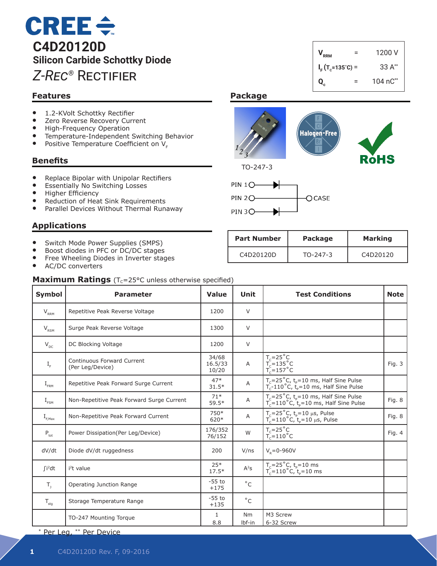# $CREE \div$ **C4D20120D Silicon Carbide Schottky Diode** *Z-Rec®* Rectifier

## **Features**

- 1.2-KVolt Schottky Rectifier<br>• Zero Reverse Recovery Curr
- Zero Reverse Recovery Current<br>• High-Frequency Operation
- High-Frequency Operation
- Temperature-Independent Switching Behavior<br>• Positive Temperature Coefficient on V
- Positive Temperature Coefficient on  $V_F$

#### **Benefits**

- Replace Bipolar with Unipolar Rectifiers
- Essentially No Switching Losses
- **Higher Efficiency**
- Reduction of Heat Sink Requirements
- Parallel Devices Without Thermal Runaway

### **Applications**

- Switch Mode Power Supplies (SMPS)
- Boost diodes in PFC or DC/DC stages
- Free Wheeling Diodes in Inverter stages
- AC/DC converters

# **Package**



 $V_{RRM}$  = 1200 V

 $I_F$ (T<sub>c</sub>=135°C) = 33 A<sup>\*\*</sup> **Q<sub>c</sub>** = 104 nC<sup>\*\*</sup>



| <b>Part Number</b> | <b>Package</b> | <b>Marking</b>                    |
|--------------------|----------------|-----------------------------------|
| C4D20120D          | TO-247-3       | C <sub>4</sub> D <sub>20120</sub> |

| <b>Maximum Ratings</b> ( $T_c = 25^{\circ}C$ unless otherwise specified) |                                                |                           |                          |                                                                                                                            |             |  |
|--------------------------------------------------------------------------|------------------------------------------------|---------------------------|--------------------------|----------------------------------------------------------------------------------------------------------------------------|-------------|--|
| <b>Symbol</b>                                                            | <b>Parameter</b>                               | Value                     | Unit                     | <b>Test Conditions</b>                                                                                                     | <b>Note</b> |  |
| $V_{RRM}$                                                                | Repetitive Peak Reverse Voltage                | 1200                      | V                        |                                                                                                                            |             |  |
| $V_{\rm RSM}$                                                            | Surge Peak Reverse Voltage                     | 1300                      | V                        |                                                                                                                            |             |  |
| $V_{DC}$                                                                 | DC Blocking Voltage                            | 1200                      | $\vee$                   |                                                                                                                            |             |  |
| $I_F$                                                                    | Continuous Forward Current<br>(Per Leg/Device) | 34/68<br>16.5/33<br>10/20 | $\overline{A}$           | $T_c=25^\circ C$<br>$T_c=135^\circ C$<br>$T_c=157^\circ C$                                                                 | Fig. 3      |  |
| $\mathrm{I}_{\scriptscriptstyle \sf{FRM}}$                               | Repetitive Peak Forward Surge Current          | $47*$<br>$31.5*$          | Α                        | $T_c = 25^\circ C$ , $t_p = 10$ ms, Half Sine Pulse<br>$T_c$ -110°C, $t_e$ =10 ms, Half Sine Pulse                         |             |  |
| $I_{FSM}$                                                                | Non-Repetitive Peak Forward Surge Current      | $71*$<br>$59.5*$          | Α                        | $T_c = 25^{\circ}$ C, t <sub>p</sub> =10 ms, Half Sine Pulse<br>$T_c = 110^\circ C, t_e = 10 \text{ ms}$ , Half Sine Pulse | Fig. 8      |  |
| $I_{F, \text{Max}}$                                                      | Non-Repetitive Peak Forward Current            | 750*<br>620*              | Α                        | $T_c = 25^\circ C$ , $t_p = 10 \mu s$ , Pulse<br>$T_c = 110^{\circ}$ C, t <sub>p</sub> =10 µs, Pulse                       | Fig. 8      |  |
| $P_{\text{tot}}$                                                         | Power Dissipation(Per Leg/Device)              | 176/352<br>76/152         | W                        | $T_c = 25^{\circ}C$<br>$T_c = 110^{\circ}$ C                                                                               | Fig. 4      |  |
| dV/dt                                                                    | Diode dV/dt ruggedness                         | 200                       | V/ns                     | $V_R = 0 - 960V$                                                                                                           |             |  |
| $\int$ i <sup>2</sup> dt                                                 | i <sup>2</sup> t value                         | $25*$<br>$17.5*$          | $A^2S$                   | $T_c = 25^{\circ}$ C, t <sub>p</sub> =10 ms<br>T <sub>c</sub> =110°C, t <sub>p</sub> =10 ms                                |             |  |
| $T_{1}$                                                                  | Operating Junction Range                       | $-55$ to<br>$+175$        | $^{\circ}$ C             |                                                                                                                            |             |  |
| $T_{\text{stq}}$                                                         | Storage Temperature Range                      | $-55$ to<br>$+135$        | $^{\circ}$ C             |                                                                                                                            |             |  |
|                                                                          | TO-247 Mounting Torque                         | 1<br>8.8                  | N <sub>m</sub><br>Ibf-in | M3 Screw<br>6-32 Screw                                                                                                     |             |  |

\* Per Leg, \*\* Per Device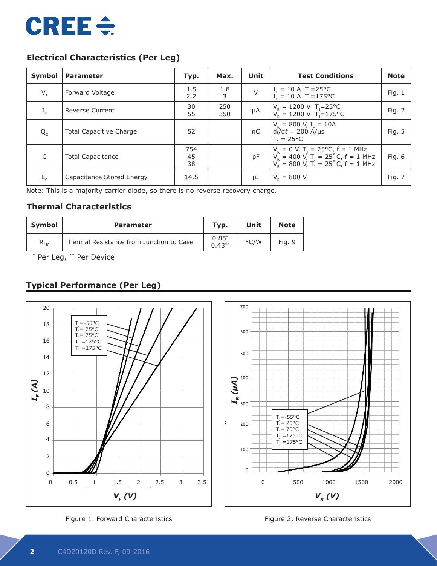

## **Electrical Characteristics (Per Leg)**

| Symbol  | <b>Parameter</b>               | Typ.            | Max.       | Unit    | <b>Test Conditions</b>                                                                                                                                 | <b>Note</b> |
|---------|--------------------------------|-----------------|------------|---------|--------------------------------------------------------------------------------------------------------------------------------------------------------|-------------|
| $V_{F}$ | Forward Voltage                | 1.5<br>2.2      | 1.8<br>3   | $\vee$  | $I_F = 10 \text{ A}$ T <sub>J</sub> =25°C<br>I <sub>F</sub> = 10 A T <sub>1</sub> =175°C                                                               | Fig. $1$    |
| $I_R$   | <b>Reverse Current</b>         | 30<br>55        | 250<br>350 | $\mu A$ | $V_R = 1200 \text{ V}$ T <sub>1</sub> =25°C<br>$V_p = 1200 \text{ V}$ T <sub>1</sub> =175 °C                                                           | Fig. 2      |
| $Q_{C}$ | <b>Total Capacitive Charge</b> | 52              |            | nC      | $V_R = 800$ V, I <sub>F</sub> = 10A<br>$di/dt = 200$ A/µs<br>$T = 25^{\circ}C$                                                                         | Fig. 5      |
| C       | <b>Total Capacitance</b>       | 754<br>45<br>38 |            | pF      | $V_R = 0 V$ , T <sub>J</sub> = 25°C, f = 1 MHz<br>$V_R = 400 V$ , T <sub>J</sub> = 25°C, f = 1 MHz<br>$V_R = 800 V$ , T <sub>J</sub> = 25°C, f = 1 MHz | Fig. $6$    |
| $E_{c}$ | Capacitance Stored Energy      | 14.5            |            | μJ      | $V_{\rm p} = 800 \text{ V}$                                                                                                                            | Fig. 7      |

Note: This is a majority carrier diode, so there is no reverse recovery charge.

#### **Thermal Characteristics**

| <b>Symbol</b>  | <b>Parameter</b>                         | Typ.                   | Unit | <b>Note</b> |
|----------------|------------------------------------------|------------------------|------|-------------|
| $R_{\theta$ JC | Thermal Resistance from Junction to Case | $0.85^{*}$<br>$0.43**$ | °C/W | Fig. 9      |

\* Per Leg, \*\* Per Device

## **Typical Performance (Per Leg)**



Figure 1. Forward Characteristics



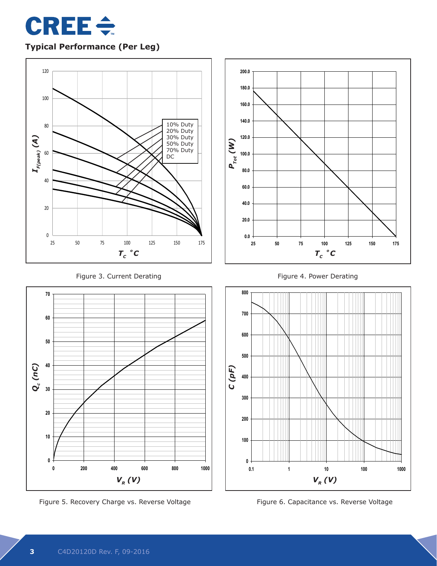

**Typical Performance (Per Leg)**





Figure 5. Recovery Charge vs. Reverse Voltage **Xanadia Communist Constance vs. Reverse Voltage** 





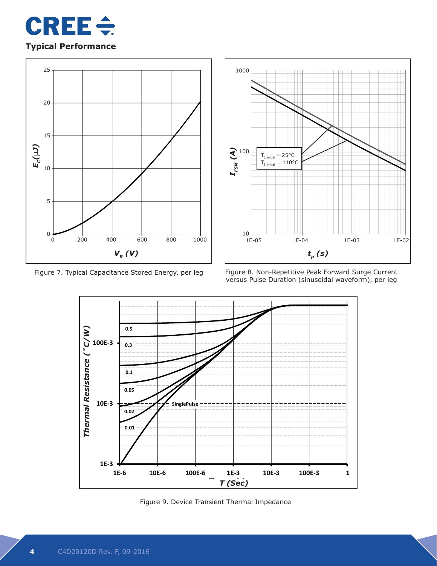

## **Typical Performance**





Figure 7. Typical Capacitance Stored Energy, per leg Figure 8. Non-Repetitive Peak Forward Surge Current versus Pulse Duration (sinusoidal waveform), per leg



Figure 9. Device Transient Thermal Impedance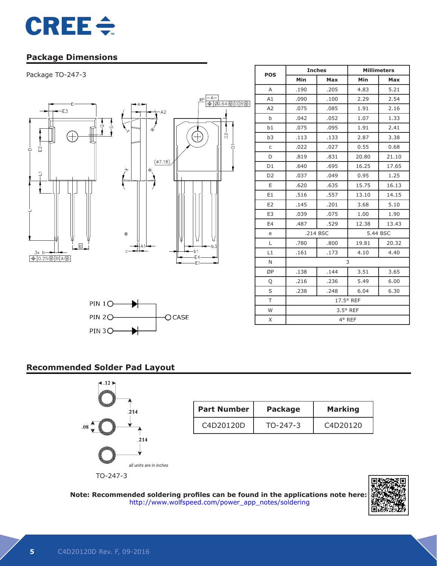

## **Package Dimensions**

# Package TO-247-3 *ASEAdvanced Semiconductor*





| <b>POS</b>     |      | <b>Inches</b>     | <b>Millimeters</b> |          |  |  |
|----------------|------|-------------------|--------------------|----------|--|--|
|                | Min  | <b>Max</b>        | Min                | Max      |  |  |
| A              | .190 | .205              | 4.83               | 5.21     |  |  |
| A1             | .090 | .100              | 2.29               | 2.54     |  |  |
| A <sub>2</sub> | .075 | .085              | 1.91               | 2.16     |  |  |
| b              | .042 | .052              | 1.07               | 1.33     |  |  |
| b1             | .075 | .095              | 1.91               | 2.41     |  |  |
| b <sub>3</sub> | .113 | .133              | 2.87               | 3.38     |  |  |
| $\mathsf{C}$   | .022 | .027              | 0.55               | 0.68     |  |  |
| D              | .819 | .831              | 20.80              | 21.10    |  |  |
| D <sub>1</sub> | .640 | .695              | 16.25              | 17.65    |  |  |
| D <sub>2</sub> | .037 | .049              | 0.95               | 1.25     |  |  |
| E              | .620 | .635              | 15.75              | 16.13    |  |  |
| E1             | .516 | .557              | 13.10              | 14.15    |  |  |
| E <sub>2</sub> | .145 | .201              | 3.68               | 5.10     |  |  |
| E <sub>3</sub> | .039 | .075              | 1.00               | 1.90     |  |  |
| E4             | .487 | .529              | 12.38              | 13.43    |  |  |
| e              |      | .214 BSC          |                    | 5.44 BSC |  |  |
| L              | .780 | .800              | 19.81              | 20.32    |  |  |
| L1             | .161 | .173              | 4.10               | 4.40     |  |  |
| N              | 3    |                   |                    |          |  |  |
| ØP             | .138 | .144              | 3.51               | 3.65     |  |  |
| Q              | .216 | .236              | 5.49               | 6.00     |  |  |
| S              | .238 | .248              | 6.04               | 6.30     |  |  |
| T.             |      | 17.5° REF         |                    |          |  |  |
| W              |      | $3.5^{\circ}$ REF |                    |          |  |  |
| X              |      |                   | 4° REF             |          |  |  |

## **Recommended Solder Pad Layout**



| <b>Part Number</b> | <b>Package</b> | <b>Marking</b>                    |
|--------------------|----------------|-----------------------------------|
| C4D20120D          | $TO-247-3$     | C <sub>4</sub> D <sub>20120</sub> |

**Note: Recommended soldering profiles can be found in the applications note here:** http://www.wolfspeed.com/power\_app\_notes/soldering